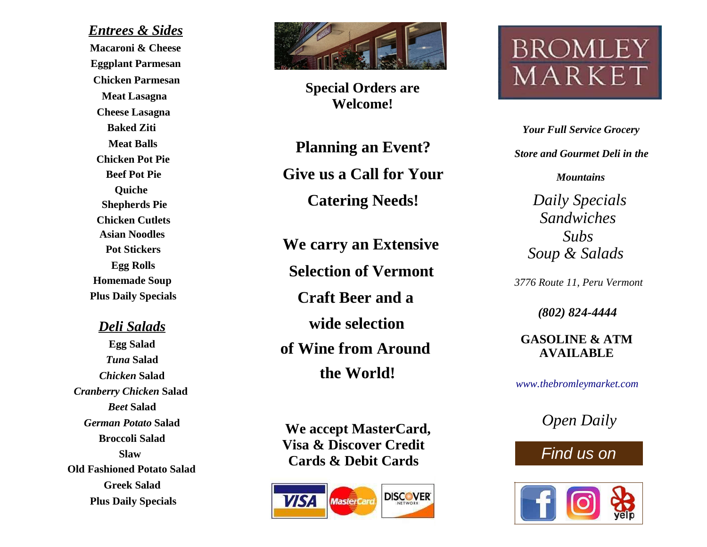Entrees & Sides Macaroni & Cheese Eggplant Parmesan Meat Lasagna Cheese Lasagna Baked Ziti Chicken Cutlets Pot Stickers Egg Rolls Plus Daily Specials Meat Balls Asian Noodles Chicken Parmesan Chicken Pot Pie Beef Pot Pie Shepherds Pie Homemade Soup Quiche

Deli Salads

Egg Salad Tuna Salad Chicken Salad Cranberry Chicken Salad Beet Salad German Potato Salad Broccoli Salad Old Fashioned Potato Salad Greek Salad Plus Daily Specials Slaw



Special Orders are Welcome!

Planning an Event? Give us a Call for Your Catering Needs!

We carry an Extensive Selection of Vermont Craft Beer and a wide selection of Wine from Around the World!

We accept MasterCard, Visa & Discover Credit Cards & Debit Cards



# **BROMLE** MARKE<sup>-</sup>

Your Full Service Grocery Store and Gourmet Deli in the

**Mountains** 

Daily Specials Soup & Salads Subs Sandwiches

3776 Route 11, Peru Vermont

(802) 824-4444

GASOLINE & ATM AVAILABLE

www.thebromleymarket.com

Open Daily

# Find us on